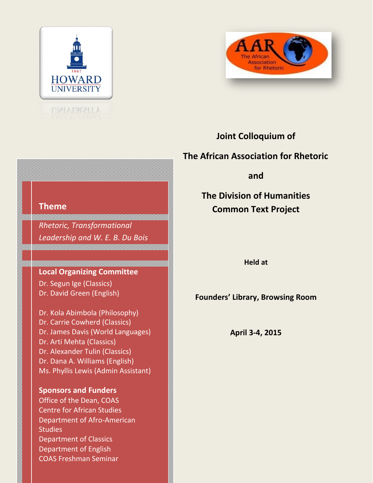



### **Joint Colloquium of**

### **The African Association for Rhetoric**

**and**

**The Division of Humanities Common Text Project**

**Held at**

**Founders' Library, Browsing Room**

**April 3-4, 2015**

### **Theme**

*Rhetoric, Transformational Leadership and W. E. B. Du Bois*

#### **Local Organizing Committee**

Dr. Segun Ige (Classics) Dr. David Green (English)

Dr. [Kola](mailto:Ige.segun@gmail.com) Abimbola (Philosophy) Dr. Carrie Cowherd (Classics) Dr. James Davis (World Languages) Dr. Arti Mehta (Classics) Dr. Alexander Tulin (Classics) Dr. [Dana](mailto:Busayo.ige@uct.ac.za) A. Williams (English) Ms. Phyllis Lewis (Admin Assistant)

#### **Sponsors and Funders**

Office of the Dean, COAS Centre for African Studies Department of Afro-American **Studies** Department of Classics Department of English COAS Freshman Seminar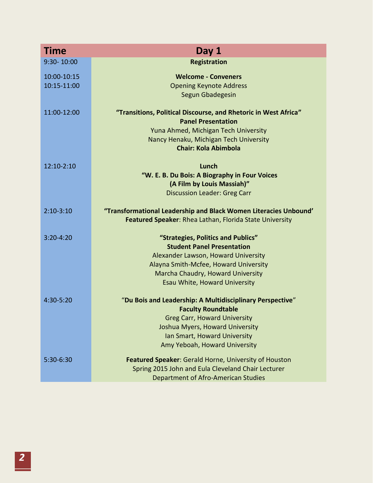| <b>Time</b>   | Day 1                                                            |
|---------------|------------------------------------------------------------------|
| 9:30-10:00    | <b>Registration</b>                                              |
| 10:00-10:15   | <b>Welcome - Conveners</b>                                       |
| 10:15-11:00   | <b>Opening Keynote Address</b>                                   |
|               | Segun Gbadegesin                                                 |
| 11:00-12:00   | "Transitions, Political Discourse, and Rhetoric in West Africa"  |
|               | <b>Panel Presentation</b>                                        |
|               | Yuna Ahmed, Michigan Tech University                             |
|               | Nancy Henaku, Michigan Tech University                           |
|               | <b>Chair: Kola Abimbola</b>                                      |
| 12:10-2:10    | Lunch                                                            |
|               | "W. E. B. Du Bois: A Biography in Four Voices                    |
|               | (A Film by Louis Massiah)"                                       |
|               | <b>Discussion Leader: Greg Carr</b>                              |
| $2:10-3:10$   | "Transformational Leadership and Black Women Literacies Unbound' |
|               | Featured Speaker: Rhea Lathan, Florida State University          |
| $3:20 - 4:20$ | "Strategies, Politics and Publics"                               |
|               | <b>Student Panel Presentation</b>                                |
|               | Alexander Lawson, Howard University                              |
|               | Alayna Smith-Mcfee, Howard University                            |
|               | Marcha Chaudry, Howard University                                |
|               | Esau White, Howard University                                    |
| 4:30-5:20     | "Du Bois and Leadership: A Multidisciplinary Perspective"        |
|               | <b>Faculty Roundtable</b>                                        |
|               | <b>Greg Carr, Howard University</b>                              |
|               | Joshua Myers, Howard University                                  |
|               | Ian Smart, Howard University                                     |
|               | Amy Yeboah, Howard University                                    |
| 5:30-6:30     | Featured Speaker: Gerald Horne, University of Houston            |
|               | Spring 2015 John and Eula Cleveland Chair Lecturer               |
|               | <b>Department of Afro-American Studies</b>                       |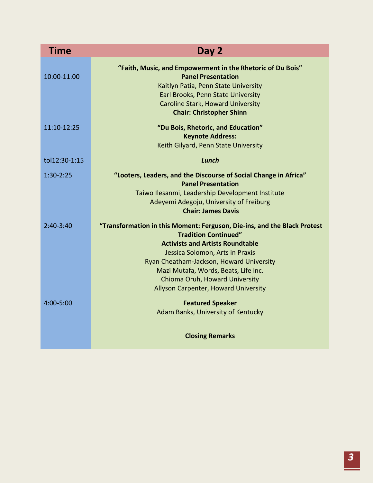| Time          | Day 2                                                                                                                                                                                                                                                                                                                                               |
|---------------|-----------------------------------------------------------------------------------------------------------------------------------------------------------------------------------------------------------------------------------------------------------------------------------------------------------------------------------------------------|
| 10:00-11:00   | "Faith, Music, and Empowerment in the Rhetoric of Du Bois"<br><b>Panel Presentation</b><br>Kaitlyn Patia, Penn State University<br>Earl Brooks, Penn State University<br><b>Caroline Stark, Howard University</b><br><b>Chair: Christopher Shinn</b>                                                                                                |
| 11:10-12:25   | "Du Bois, Rhetoric, and Education"<br><b>Keynote Address:</b><br>Keith Gilyard, Penn State University                                                                                                                                                                                                                                               |
| tol12:30-1:15 | Lunch                                                                                                                                                                                                                                                                                                                                               |
| $1:30-2:25$   | "Looters, Leaders, and the Discourse of Social Change in Africa"<br><b>Panel Presentation</b><br>Taiwo Ilesanmi, Leadership Development Institute<br>Adeyemi Adegoju, University of Freiburg<br><b>Chair: James Davis</b>                                                                                                                           |
| $2:40-3:40$   | "Transformation in this Moment: Ferguson, Die-ins, and the Black Protest<br><b>Tradition Continued"</b><br><b>Activists and Artists Roundtable</b><br>Jessica Solomon, Arts in Praxis<br>Ryan Cheatham-Jackson, Howard University<br>Mazi Mutafa, Words, Beats, Life Inc.<br>Chioma Oruh, Howard University<br>Allyson Carpenter, Howard University |
| $4:00 - 5:00$ | <b>Featured Speaker</b><br>Adam Banks, University of Kentucky<br><b>Closing Remarks</b>                                                                                                                                                                                                                                                             |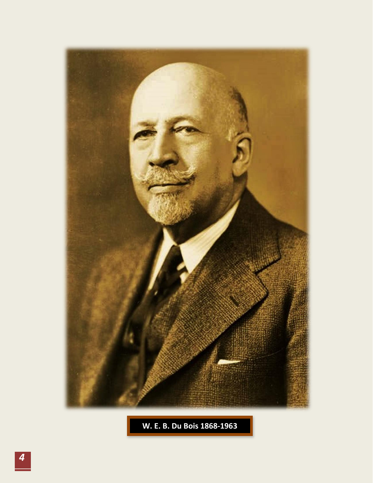

**W. E. B. Du Bois 1868-1963**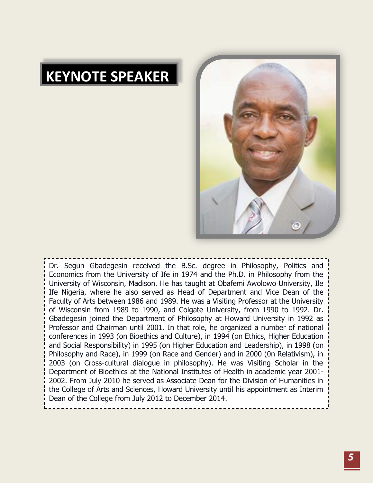# **KEYNOTE SPEAKER**



Dr. Segun Gbadegesin received the B.Sc. degree in Philosophy, Politics and Economics from the University of Ife in 1974 and the Ph.D. in Philosophy from the University of Wisconsin, Madison. He has taught at Obafemi Awolowo University, Ile Ife Nigeria, where he also served as Head of Department and Vice Dean of the Faculty of Arts between 1986 and 1989. He was a Visiting Professor at the University of Wisconsin from 1989 to 1990, and Colgate University, from 1990 to 1992. Dr. Gbadegesin joined the Department of Philosophy at Howard University in 1992 as Professor and Chairman until 2001. In that role, he organized a number of national conferences in 1993 (on Bioethics and Culture), in 1994 (on Ethics, Higher Education and Social Responsibility) in 1995 (on Higher Education and Leadership), in 1998 (on Philosophy and Race), in 1999 (on Race and Gender) and in 2000 (0n Relativism), in 2003 (on Cross-cultural dialogue in philosophy). He was Visiting Scholar in the Department of Bioethics at the National Institutes of Health in academic year 2001- 2002. From July 2010 he served as Associate Dean for the Division of Humanities in the College of Arts and Sciences, Howard University until his appointment as Interim Dean of the College from July 2012 to December 2014.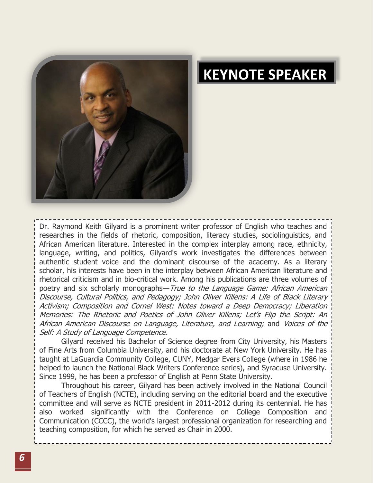

# **KEYNOTE SPEAKER**

Dr. Raymond Keith Gilyard is a prominent writer professor of English who teaches and researches in the fields of rhetoric, composition, literacy studies, sociolinguistics, and African American literature. Interested in the complex interplay among race, ethnicity, language, writing, and politics, Gilyard's work investigates the differences between authentic student voice and the dominant discourse of the academy. As a literary scholar, his interests have been in the interplay between African American literature and rhetorical criticism and in bio-critical work. Among his publications are three volumes of poetry and six scholarly monographs—True to the Language Game: African American Discourse, Cultural Politics, and Pedagogy; John Oliver Killens: A Life of Black Literary Activism; Composition and Cornel West: Notes toward a Deep Democracy; Liberation Memories: The Rhetoric and Poetics of John Oliver Killens; Let's Flip the Script: An African American Discourse on Language, Literature, and Learning; and Voices of the Self: A Study of Language Competence.

Gilyard received his Bachelor of Science degree from City University, his Masters of Fine Arts from Columbia University, and his doctorate at New York University. He has taught at LaGuardia Community College, CUNY, Medgar Evers College (where in 1986 he helped to launch the National Black Writers Conference series), and Syracuse University. Since 1999, he has been a professor of English at Penn State University.

Throughout his career, Gilyard has been actively involved in the National Council of Teachers of English (NCTE), including serving on the editorial board and the executive committee and will serve as NCTE president in 2011-2012 during its centennial. He has also worked significantly with the Conference on College Composition and Communication (CCCC), the world's largest professional organization for researching and teaching composition, for which he served as Chair in 2000.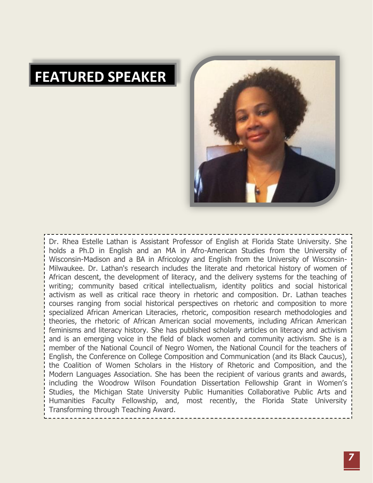## **FEATURED SPEAKER**



Dr. Rhea Estelle Lathan is Assistant Professor of English at Florida State University. She holds a Ph.D in English and an MA in Afro-American Studies from the University of Wisconsin-Madison and a BA in Africology and English from the University of Wisconsin-Milwaukee. Dr. Lathan's research includes the literate and rhetorical history of women of African descent, the development of literacy, and the delivery systems for the teaching of writing; community based critical intellectualism, identity politics and social historical activism as well as critical race theory in rhetoric and composition. Dr. Lathan teaches courses ranging from social historical perspectives on rhetoric and composition to more specialized African American Literacies, rhetoric, composition research methodologies and theories, the rhetoric of African American social movements, including African American feminisms and literacy history. She has published scholarly articles on literacy and activism and is an emerging voice in the field of black women and community activism. She is a member of the National Council of Negro Women, the National Council for the teachers of English, the Conference on College Composition and Communication (and its Black Caucus), the Coalition of Women Scholars in the History of Rhetoric and Composition, and the Modern Languages Association. She has been the recipient of various grants and awards, including the Woodrow Wilson Foundation Dissertation Fellowship Grant in Women's Studies, the Michigan State University Public Humanities Collaborative Public Arts and Humanities Faculty Fellowship, and, most recently, the Florida State University Transforming through Teaching Award.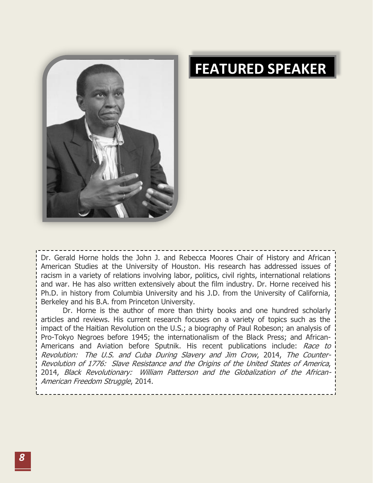

## **FEATURED SPEAKER**

--------------Dr. Gerald Horne holds the John J. and Rebecca Moores Chair of History and African American Studies at the University of Houston. His research has addressed issues of racism in a variety of relations involving labor, politics, civil rights, international relations and war. He has also written extensively about the film industry. Dr. Horne received his Ph.D. in history from Columbia University and his J.D. from the University of California, Berkeley and his B.A. from Princeton University.

Dr. Horne is the author of more than thirty books and one hundred scholarly articles and reviews. His current research focuses on a variety of topics such as the impact of the Haitian Revolution on the U.S.; a biography of Paul Robeson; an analysis of Pro-Tokyo Negroes before 1945; the internationalism of the Black Press; and African-Americans and Aviation before Sputnik. His recent publications include: Race to Revolution: The U.S. and Cuba During Slavery and Jim Crow, 2014, The Counter-Revolution of 1776: Slave Resistance and the Origins of the United States of America, 2014, Black Revolutionary: William Patterson and the Globalization of the African-American Freedom Struggle, 2014.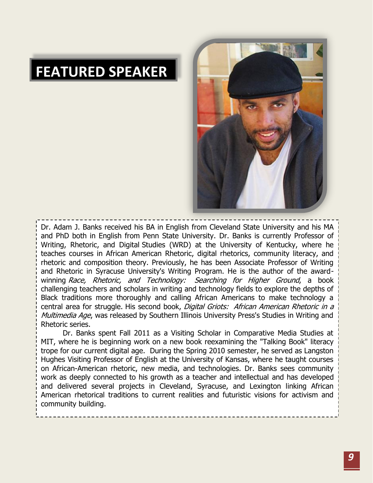## **FEATURED SPEAKER**



Dr. Adam J. Banks received his BA in English from Cleveland State University and his MA and PhD both in English from Penn State University. Dr. Banks is currently Professor of Writing, Rhetoric, and Digital Studies (WRD) at the University of Kentucky, where he teaches courses in African American Rhetoric, digital rhetorics, community literacy, and rhetoric and composition theory. Previously, he has been Associate Professor of Writing and Rhetoric in Syracuse University's Writing Program. He is the author of the awardwinning Race, Rhetoric, and Technology: Searching for Higher Ground, a book challenging teachers and scholars in writing and technology fields to explore the depths of Black traditions more thoroughly and calling African Americans to make technology a central area for struggle. His second book, Digital Griots: African American Rhetoric in a Multimedia Age, was released by Southern Illinois University Press's Studies in Writing and Rhetoric series.

Dr. Banks spent Fall 2011 as a Visiting Scholar in Comparative Media Studies at MIT, where he is beginning work on a new book reexamining the "Talking Book" literacy trope for our current digital age. During the Spring 2010 semester, he served as Langston Hughes Visiting Professor of English at the University of Kansas, where he taught courses on African-American rhetoric, new media, and technologies. Dr. Banks sees community work as deeply connected to his growth as a teacher and intellectual and has developed and delivered several projects in Cleveland, Syracuse, and Lexington linking African American rhetorical traditions to current realities and futuristic visions for activism and community building.